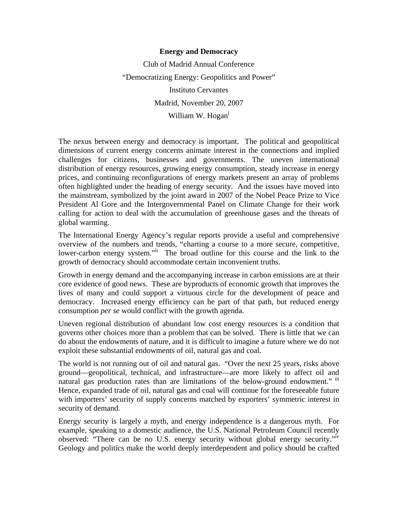## **Energy and Democracy**

Club of Madrid Annual Conference "Democratizing Energy: Geopolitics and Power" Instituto Cervantes Madrid, November 20, 2007 William W. Hogan<sup>i</sup>

The nexus between energy and democracy is important. The political and geopolitical dimensions of current energy concerns animate interest in the connections and implied challenges for citizens, businesses and governments. The uneven international distribution of energy resources, growing energy consumption, steady increase in energy prices, and continuing reconfigurations of energy markets present an array of problems often highlighted under the heading of energy security. And the issues have moved into the mainstream, symbolized by the joint award in 2007 of the Nobel Peace Prize to Vice President Al Gore and the Intergovernmental Panel on Climate Change for their work calling for action to deal with the accumulation of greenhouse gases and the threats of global warming.

The International Energy Agency's regular reports provide a useful and comprehensive overview of the numbers and trends, "charting a course to a more secure, competitive, lower-carbon energy system."<sup>ii</sup> The broad outline for this course and the link to the growth of democracy should accommodate certain inconvenient truths.

Growth in energy demand and the accompanying increase in carbon emissions are at their core evidence of good news. These are byproducts of economic growth that improves the lives of many and could support a virtuous circle for the development of peace and democracy. Increased energy efficiency can be part of that path, but reduced energy consumption *per se* would conflict with the growth agenda.

Uneven regional distribution of abundant low cost energy resources is a condition that governs other choices more than a problem that can be solved. There is little that we can do about the endowments of nature, and it is difficult to imagine a future where we do not exploit these substantial endowments of oil, natural gas and coal.

The world is not running out of oil and natural gas. "Over the next 25 years, risks above ground—geopolitical, technical, and infrastructure—are more likely to affect oil and natural gas production rates than are limitations of the below-ground endowment." iii Hence, expanded trade of oil, natural gas and coal will continue for the foreseeable future with importers' security of supply concerns matched by exporters' symmetric interest in security of demand.

Energy security is largely a myth, and energy independence is a dangerous myth. For example, speaking to a domestic audience, the U.S. National Petroleum Council recently observed: "There can be no U.S. energy security without global energy security."iv Geology and politics make the world deeply interdependent and policy should be crafted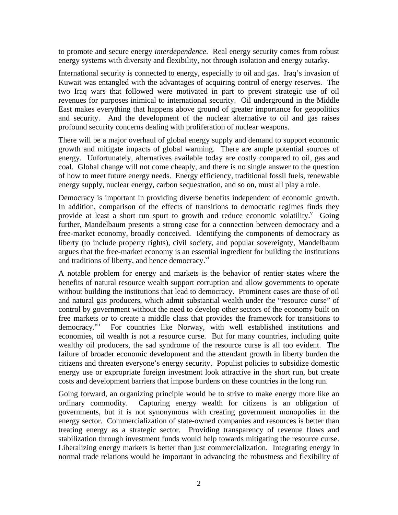to promote and secure energy *interdependence*. Real energy security comes from robust energy systems with diversity and flexibility, not through isolation and energy autarky.

International security is connected to energy, especially to oil and gas. Iraq's invasion of Kuwait was entangled with the advantages of acquiring control of energy reserves. The two Iraq wars that followed were motivated in part to prevent strategic use of oil revenues for purposes inimical to international security. Oil underground in the Middle East makes everything that happens above ground of greater importance for geopolitics and security. And the development of the nuclear alternative to oil and gas raises profound security concerns dealing with proliferation of nuclear weapons.

There will be a major overhaul of global energy supply and demand to support economic growth and mitigate impacts of global warming. There are ample potential sources of energy. Unfortunately, alternatives available today are costly compared to oil, gas and coal. Global change will not come cheaply, and there is no single answer to the question of how to meet future energy needs. Energy efficiency, traditional fossil fuels, renewable energy supply, nuclear energy, carbon sequestration, and so on, must all play a role.

Democracy is important in providing diverse benefits independent of economic growth. In addition, comparison of the effects of transitions to democratic regimes finds they provide at least a short run spurt to growth and reduce economic volatility.<sup>v</sup> Going further, Mandelbaum presents a strong case for a connection between democracy and a free-market economy, broadly conceived. Identifying the components of democracy as liberty (to include property rights), civil society, and popular sovereignty, Mandelbaum argues that the free-market economy is an essential ingredient for building the institutions and traditions of liberty, and hence democracy. $\mathbf{v}^{\mathbf{v}}$ 

A notable problem for energy and markets is the behavior of rentier states where the benefits of natural resource wealth support corruption and allow governments to operate without building the institutions that lead to democracy. Prominent cases are those of oil and natural gas producers, which admit substantial wealth under the "resource curse" of control by government without the need to develop other sectors of the economy built on free markets or to create a middle class that provides the framework for transitions to democracy.<sup>vii</sup> For countries like Norway, with well established institutions and economies, oil wealth is not a resource curse. But for many countries, including quite wealthy oil producers, the sad syndrome of the resource curse is all too evident. The failure of broader economic development and the attendant growth in liberty burden the citizens and threaten everyone's energy security. Populist policies to subsidize domestic energy use or expropriate foreign investment look attractive in the short run, but create costs and development barriers that impose burdens on these countries in the long run.

Going forward, an organizing principle would be to strive to make energy more like an ordinary commodity. Capturing energy wealth for citizens is an obligation of governments, but it is not synonymous with creating government monopolies in the energy sector. Commercialization of state-owned companies and resources is better than treating energy as a strategic sector. Providing transparency of revenue flows and stabilization through investment funds would help towards mitigating the resource curse. Liberalizing energy markets is better than just commercialization. Integrating energy in normal trade relations would be important in advancing the robustness and flexibility of